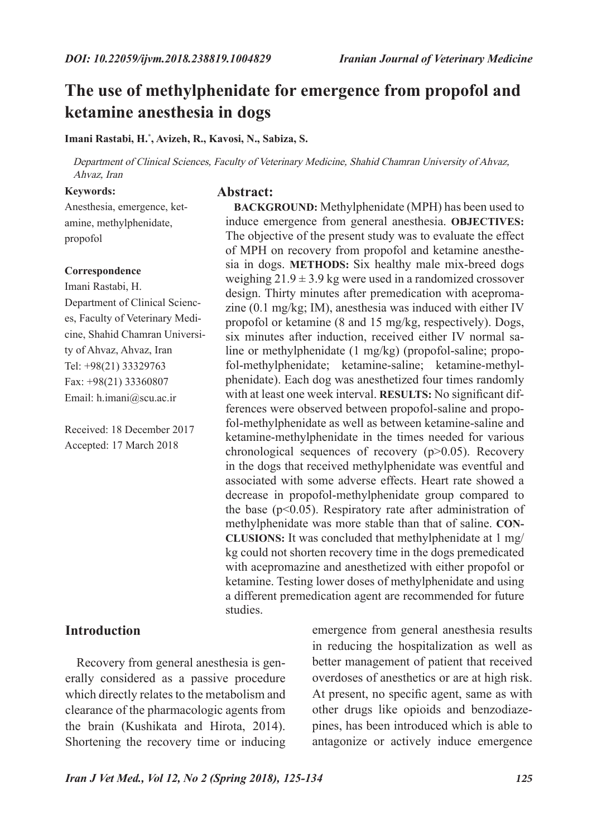**BACKGROUND:** Methylphenidate (MPH) has been used to induce emergence from general anesthesia. **OBJECTIVES:**  The objective of the present study was to evaluate the effect of MPH on recovery from propofol and ketamine anesthesia in dogs. **METHODS:** Six healthy male mix-breed dogs weighing  $21.9 \pm 3.9$  kg were used in a randomized crossover design. Thirty minutes after premedication with acepromazine (0.1 mg/kg; IM), anesthesia was induced with either IV propofol or ketamine (8 and 15 mg/kg, respectively). Dogs, six minutes after induction, received either IV normal saline or methylphenidate (1 mg/kg) (propofol-saline; propofol-methylphenidate; ketamine-saline; ketamine-methylphenidate). Each dog was anesthetized four times randomly with at least one week interval. **RESULTS:** No significant differences were observed between propofol-saline and propofol-methylphenidate as well as between ketamine-saline and ketamine-methylphenidate in the times needed for various chronological sequences of recovery (p>0.05). Recovery in the dogs that received methylphenidate was eventful and associated with some adverse effects. Heart rate showed a decrease in propofol-methylphenidate group compared to the base  $(p<0.05)$ . Respiratory rate after administration of methylphenidate was more stable than that of saline. **CON-CLUSIONS:** It was concluded that methylphenidate at 1 mg/ kg could not shorten recovery time in the dogs premedicated with acepromazine and anesthetized with either propofol or ketamine. Testing lower doses of methylphenidate and using a different premedication agent are recommended for future

# **The use of methylphenidate for emergence from propofol and ketamine anesthesia in dogs**

**Imani Rastabi, H.\* , Avizeh, R., Kavosi, N., Sabiza, S.**

Department of Clinical Sciences, Faculty of Veterinary Medicine, Shahid Chamran University of Ahvaz, Ahvaz, Iran

**Abstract:**

studies.

#### **Keywords:**

Anesthesia, emergence, ketamine, methylphenidate, propofol

#### **Correspondence**

Imani Rastabi, H. Department of Clinical Sciences, Faculty of Veterinary Medicine, Shahid Chamran University of Ahvaz, Ahvaz, Iran Tel: +98(21) 33329763 Fax: +98(21) 33360807 Email: h.imani@scu.ac.ir

Received: 18 December 2017 Accepted: 17 March 2018

### **Introduction**

Recovery from general anesthesia is generally considered as a passive procedure which directly relates to the metabolism and clearance of the pharmacologic agents from the brain (Kushikata and Hirota, 2014). Shortening the recovery time or inducing

emergence from general anesthesia results in reducing the hospitalization as well as better management of patient that received overdoses of anesthetics or are at high risk. At present, no specific agent, same as with other drugs like opioids and benzodiazepines, has been introduced which is able to antagonize or actively induce emergence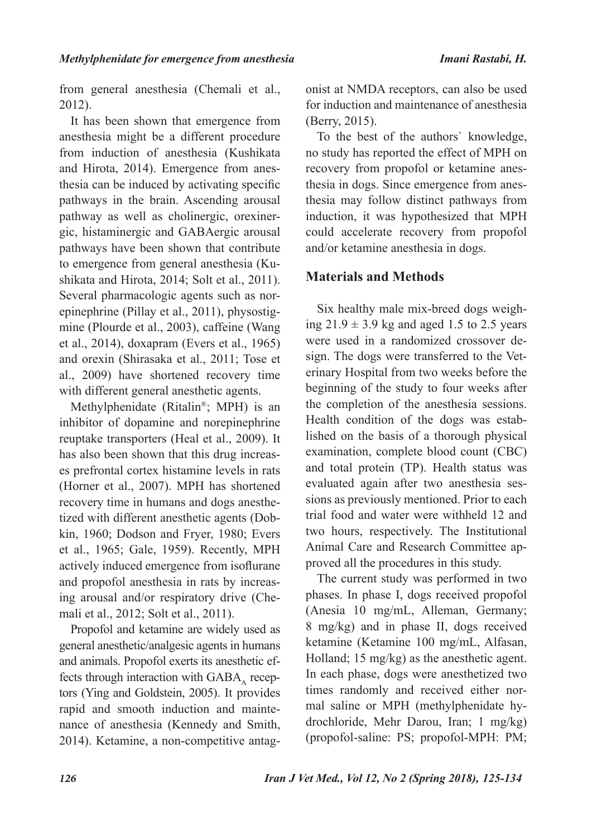from general anesthesia (Chemali et al., 2012).

It has been shown that emergence from anesthesia might be a different procedure from induction of anesthesia (Kushikata and Hirota, 2014). Emergence from anesthesia can be induced by activating specific pathways in the brain. Ascending arousal pathway as well as cholinergic, orexinergic, histaminergic and GABAergic arousal pathways have been shown that contribute to emergence from general anesthesia (Kushikata and Hirota, 2014; Solt et al., 2011). Several pharmacologic agents such as norepinephrine (Pillay et al., 2011), physostigmine (Plourde et al., 2003), caffeine (Wang et al., 2014), doxapram (Evers et al., 1965) and orexin (Shirasaka et al., 2011; Tose et al., 2009) have shortened recovery time with different general anesthetic agents.

Methylphenidate (Ritalin®; MPH) is an inhibitor of dopamine and norepinephrine reuptake transporters (Heal et al., 2009). It has also been shown that this drug increases prefrontal cortex histamine levels in rats (Horner et al., 2007). MPH has shortened recovery time in humans and dogs anesthetized with different anesthetic agents (Dobkin, 1960; Dodson and Fryer, 1980; Evers et al., 1965; Gale, 1959). Recently, MPH actively induced emergence from isoflurane and propofol anesthesia in rats by increasing arousal and/or respiratory drive (Chemali et al., 2012; Solt et al., 2011).

Propofol and ketamine are widely used as general anesthetic/analgesic agents in humans and animals. Propofol exerts its anesthetic effects through interaction with  $GABA<sub>A</sub>$  receptors (Ying and Goldstein, 2005). It provides rapid and smooth induction and maintenance of anesthesia (Kennedy and Smith, 2014). Ketamine, a non-competitive antagonist at NMDA receptors, can also be used for induction and maintenance of anesthesia (Berry, 2015).

To the best of the authors` knowledge, no study has reported the effect of MPH on recovery from propofol or ketamine anesthesia in dogs. Since emergence from anesthesia may follow distinct pathways from induction, it was hypothesized that MPH could accelerate recovery from propofol and/or ketamine anesthesia in dogs.

## **Materials and Methods**

Six healthy male mix-breed dogs weighing  $21.9 \pm 3.9$  kg and aged 1.5 to 2.5 years were used in a randomized crossover design. The dogs were transferred to the Veterinary Hospital from two weeks before the beginning of the study to four weeks after the completion of the anesthesia sessions. Health condition of the dogs was established on the basis of a thorough physical examination, complete blood count (CBC) and total protein (TP). Health status was evaluated again after two anesthesia sessions as previously mentioned. Prior to each trial food and water were withheld 12 and two hours, respectively. The Institutional Animal Care and Research Committee approved all the procedures in this study.

The current study was performed in two phases. In phase I, dogs received propofol (Anesia 10 mg/mL, Alleman, Germany; 8 mg/kg) and in phase II, dogs received ketamine (Ketamine 100 mg/mL, Alfasan, Holland; 15 mg/kg) as the anesthetic agent. In each phase, dogs were anesthetized two times randomly and received either normal saline or MPH (methylphenidate hydrochloride, Mehr Darou, Iran; 1 mg/kg) (propofol-saline: PS; propofol-MPH: PM;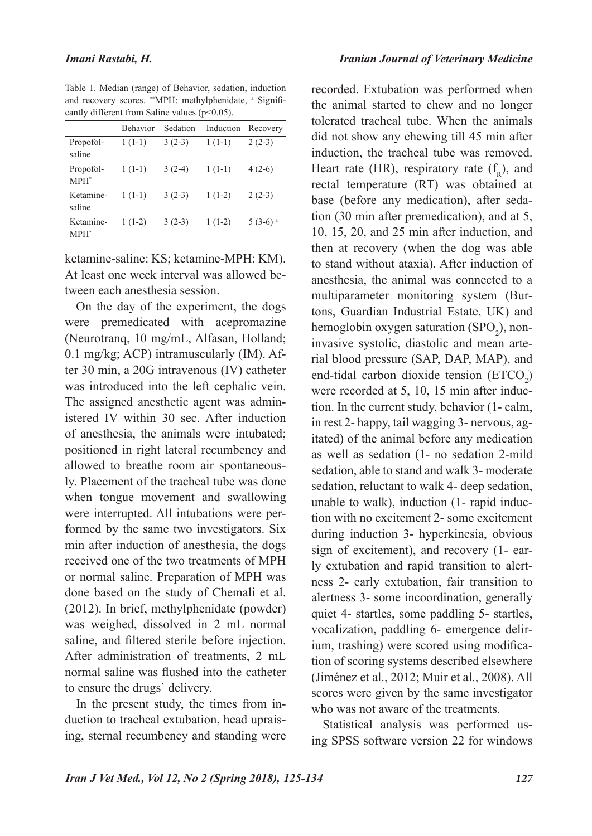Table 1. Median (range) of Behavior, sedation, induction and recovery scores. \*\*MPH: methylphenidate, a Significantly different from Saline values (p<0.05).

|                      | <b>Behavior</b> | Sedation | Induction | Recovery              |
|----------------------|-----------------|----------|-----------|-----------------------|
| Propofol-<br>saline  | $1(1-1)$        | $3(2-3)$ | $1(1-1)$  | $2(2-3)$              |
| Propofol-<br>$MPH^*$ | $1(1-1)$        | $3(2-4)$ | $1(1-1)$  | $4(2-6)$ <sup>a</sup> |
| Ketamine-<br>saline  | $1(1-1)$        | $3(2-3)$ | $1(1-2)$  | $2(2-3)$              |
| Ketamine-<br>$MPH^*$ | $1(1-2)$        | $3(2-3)$ | $1(1-2)$  | $5(3-6)$ <sup>a</sup> |

ketamine-saline: KS; ketamine-MPH: KM). At least one week interval was allowed between each anesthesia session.

On the day of the experiment, the dogs were premedicated with acepromazine (Neurotranq, 10 mg/mL, Alfasan, Holland; 0.1 mg/kg; ACP) intramuscularly (IM). After 30 min, a 20G intravenous (IV) catheter was introduced into the left cephalic vein. The assigned anesthetic agent was administered IV within 30 sec. After induction of anesthesia, the animals were intubated; positioned in right lateral recumbency and allowed to breathe room air spontaneously. Placement of the tracheal tube was done when tongue movement and swallowing were interrupted. All intubations were performed by the same two investigators. Six min after induction of anesthesia, the dogs received one of the two treatments of MPH or normal saline. Preparation of MPH was done based on the study of Chemali et al. (2012). In brief, methylphenidate (powder) was weighed, dissolved in 2 mL normal saline, and filtered sterile before injection. After administration of treatments, 2 mL normal saline was flushed into the catheter to ensure the drugs` delivery.

In the present study, the times from induction to tracheal extubation, head upraising, sternal recumbency and standing were recorded. Extubation was performed when the animal started to chew and no longer tolerated tracheal tube. When the animals did not show any chewing till 45 min after induction, the tracheal tube was removed. Heart rate (HR), respiratory rate  $(f_n)$ , and rectal temperature (RT) was obtained at base (before any medication), after sedation (30 min after premedication), and at 5, 10, 15, 20, and 25 min after induction, and then at recovery (when the dog was able to stand without ataxia). After induction of anesthesia, the animal was connected to a multiparameter monitoring system (Burtons, Guardian Industrial Estate, UK) and hemoglobin oxygen saturation  $(SPO<sub>2</sub>)$ , noninvasive systolic, diastolic and mean arterial blood pressure (SAP, DAP, MAP), and end-tidal carbon dioxide tension  $(ETCO<sub>2</sub>)$ were recorded at 5, 10, 15 min after induction. In the current study, behavior (1- calm, in rest 2- happy, tail wagging 3- nervous, agitated) of the animal before any medication as well as sedation (1- no sedation 2-mild sedation, able to stand and walk 3- moderate sedation, reluctant to walk 4- deep sedation, unable to walk), induction (1- rapid induction with no excitement 2- some excitement during induction 3- hyperkinesia, obvious sign of excitement), and recovery (1- early extubation and rapid transition to alertness 2- early extubation, fair transition to alertness 3- some incoordination, generally quiet 4- startles, some paddling 5- startles, vocalization, paddling 6- emergence delirium, trashing) were scored using modification of scoring systems described elsewhere (Jiménez et al., 2012; Muir et al., 2008). All scores were given by the same investigator who was not aware of the treatments.

Statistical analysis was performed using SPSS software version 22 for windows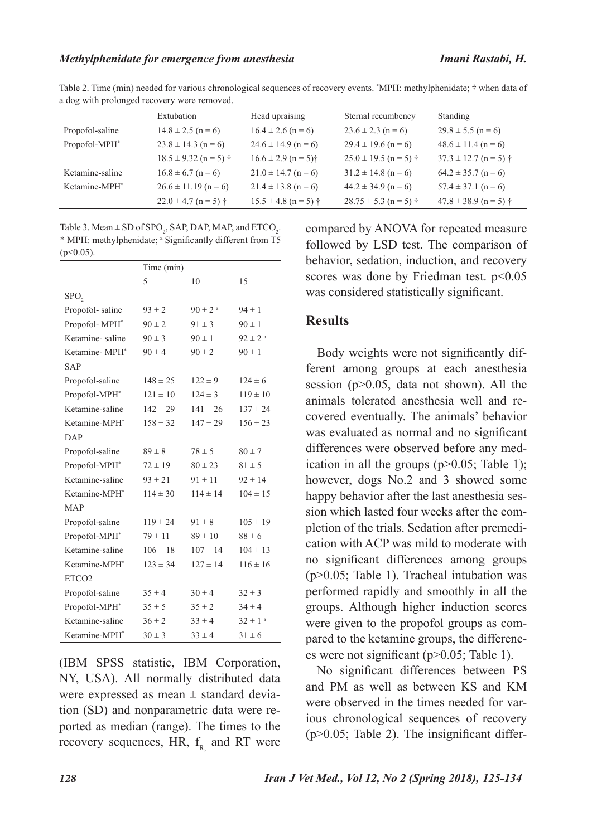|                           | Extubation                       | Head upraising                      | Sternal recumbency        | Standing                  |
|---------------------------|----------------------------------|-------------------------------------|---------------------------|---------------------------|
| Propofol-saline           | $14.8 \pm 2.5$ (n = 6)           | $16.4 \pm 2.6$ (n = 6)              | $23.6 \pm 2.3$ (n = 6)    | $29.8 \pm 5.5$ (n = 6)    |
| Propofol-MPH <sup>*</sup> | $23.8 \pm 14.3$ (n = 6)          | $24.6 \pm 14.9$ (n = 6)             | $29.4 \pm 19.6$ (n = 6)   | $48.6 \pm 11.4$ (n = 6)   |
|                           | $18.5 \pm 9.32$ (n = 5) †        | $16.6 \pm 2.9$ (n = 5) <sup>†</sup> | $25.0 \pm 19.5$ (n = 5) † | $37.3 \pm 12.7$ (n = 5) † |
| Ketamine-saline           | $16.8 \pm 6.7$ (n = 6)           | $21.0 \pm 14.7$ (n = 6)             | $31.2 \pm 14.8$ (n = 6)   | $64.2 \pm 35.7$ (n = 6)   |
| Ketamine-MPH <sup>*</sup> | $26.6 \pm 11.19$ (n = 6)         | $21.4 \pm 13.8$ (n = 6)             | $44.2 \pm 34.9$ (n = 6)   | $57.4 \pm 37.1$ (n = 6)   |
|                           | $22.0 \pm 4.7$ (n = 5) $\dagger$ | $15.5 \pm 4.8$ (n = 5) †            | $28.75 \pm 5.3$ (n = 5) † | $47.8 \pm 38.9$ (n = 5) † |

Table 2. Time (min) needed for various chronological sequences of recovery events. \* MPH: methylphenidate; † when data of a dog with prolonged recovery were removed.

Table 3. Mean  $\pm$  SD of SPO<sub>2</sub>, SAP, DAP, MAP, and ETCO<sub>2</sub>. \* MPH: methylphenidate; a Significantly different from T5  $(p<0.05)$ .

|                           | Time (min)   |                         |                         |
|---------------------------|--------------|-------------------------|-------------------------|
|                           | 5            | 10                      | 15                      |
| SPO <sub>2</sub>          |              |                         |                         |
| Propofol-saline           | $93 \pm 2$   | $90 \pm 2$ <sup>a</sup> | $94 \pm 1$              |
| Propofol-MPH*             | $90 \pm 2$   | $91 \pm 3$              | $90 \pm 1$              |
| Ketamine-saline           | $90 \pm 3$   | $90 \pm 1$              | $92 \pm 2$ <sup>a</sup> |
| Ketamine-MPH <sup>*</sup> | $90 \pm 4$   | $90 \pm 2$              | $90 \pm 1$              |
| <b>SAP</b>                |              |                         |                         |
| Propofol-saline           | $148 \pm 25$ | $122 \pm 9$             | $124 \pm 6$             |
| Propofol-MPH*             | $121 \pm 10$ | $124 \pm 3$             | $119 \pm 10$            |
| Ketamine-saline           | $142 \pm 29$ | $141 \pm 26$            | $137 \pm 24$            |
| Ketamine-MPH*             | $158 \pm 32$ | $147 \pm 29$            | $156 \pm 23$            |
| DAP                       |              |                         |                         |
| Propofol-saline           | $89 \pm 8$   | $78 \pm 5$              | $80 \pm 7$              |
| Propofol-MPH*             | $72 \pm 19$  | $80 \pm 23$             | $81 \pm 5$              |
| Ketamine-saline           | $93 \pm 21$  | $91 \pm 11$             | $92 \pm 14$             |
| Ketamine-MPH <sup>*</sup> | $114 \pm 30$ | $114 \pm 14$            | $104 \pm 15$            |
| <b>MAP</b>                |              |                         |                         |
| Propofol-saline           | $119 \pm 24$ | $91 \pm 8$              | $105 \pm 19$            |
| Propofol-MPH*             | $79 \pm 11$  | $89 \pm 10$             | $88 \pm 6$              |
| Ketamine-saline           | $106 \pm 18$ | $107 \pm 14$            | $104 \pm 13$            |
| Ketamine-MPH <sup>*</sup> | $123 \pm 34$ | $127 \pm 14$            | $116 \pm 16$            |
| ETCO <sub>2</sub>         |              |                         |                         |
| Propofol-saline           | $35 \pm 4$   | $30 \pm 4$              | $32 \pm 3$              |
| Propofol-MPH*             | $35 \pm 5$   | $35 \pm 2$              | $34 \pm 4$              |
| Ketamine-saline           | $36 \pm 2$   | $33 \pm 4$              | $32 \pm 1$ <sup>a</sup> |
| Ketamine-MPH <sup>*</sup> | $30 \pm 3$   | $33 \pm 4$              | $31 \pm 6$              |

(IBM SPSS statistic, IBM Corporation, NY, USA). All normally distributed data were expressed as mean  $\pm$  standard deviation (SD) and nonparametric data were reported as median (range). The times to the recovery sequences, HR,  $f<sub>R</sub>$  and RT were

compared by ANOVA for repeated measure followed by LSD test. The comparison of behavior, sedation, induction, and recovery scores was done by Friedman test. p<0.05 was considered statistically significant.

#### **Results**

Body weights were not significantly different among groups at each anesthesia session (p>0.05, data not shown). All the animals tolerated anesthesia well and recovered eventually. The animals' behavior was evaluated as normal and no significant differences were observed before any medication in all the groups  $(p>0.05;$  Table 1); however, dogs No.2 and 3 showed some happy behavior after the last anesthesia session which lasted four weeks after the completion of the trials. Sedation after premedication with ACP was mild to moderate with no significant differences among groups (p>0.05; Table 1). Tracheal intubation was performed rapidly and smoothly in all the groups. Although higher induction scores were given to the propofol groups as compared to the ketamine groups, the differences were not significant (p>0.05; Table 1).

No significant differences between PS and PM as well as between KS and KM were observed in the times needed for various chronological sequences of recovery  $(p>0.05$ ; Table 2). The insignificant differ-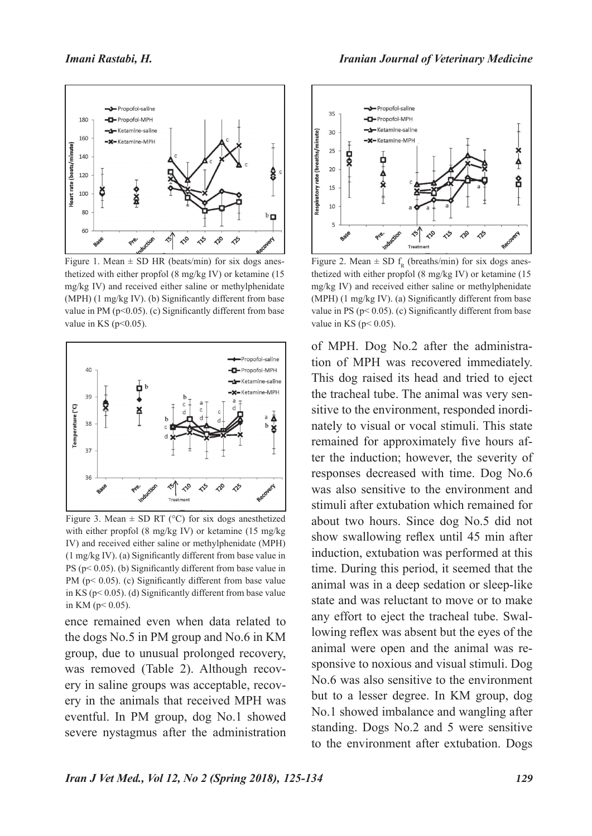

Figure 1. Mean  $\pm$  SD HR (beats/min) for six dogs anesthetized with either propfol (8 mg/kg IV) or ketamine (15 mg/kg IV) and received either saline or methylphenidate (MPH) (1 mg/kg IV). (b) Significantly different from base value in PM ( $p<0.05$ ). (c) Significantly different from base value in KS ( $p<0.05$ ).



Figure 3. Mean  $\pm$  SD RT (°C) for six dogs anesthetized with either propfol (8 mg/kg IV) or ketamine (15 mg/kg IV) and received either saline or methylphenidate (MPH) (1 mg/kg IV). (a) Significantly different from base value in PS ( $p$ < 0.05). (b) Significantly different from base value in PM (p< 0.05). (c) Significantly different from base value in KS ( $p$ < 0.05). (d) Significantly different from base value in KM ( $p < 0.05$ ).

ence remained even when data related to the dogs No.5 in PM group and No.6 in KM group, due to unusual prolonged recovery, was removed (Table 2). Although recovery in saline groups was acceptable, recovery in the animals that received MPH was eventful. In PM group, dog No.1 showed severe nystagmus after the administration



Figure 2. Mean  $\pm$  SD f<sub>R</sub> (breaths/min) for six dogs anesthetized with either propfol (8 mg/kg IV) or ketamine (15 mg/kg IV) and received either saline or methylphenidate (MPH) (1 mg/kg IV). (a) Significantly different from base value in PS ( $p$ < 0.05). (c) Significantly different from base value in KS ( $p < 0.05$ ).

of MPH. Dog No.2 after the administration of MPH was recovered immediately. This dog raised its head and tried to eject the tracheal tube. The animal was very sensitive to the environment, responded inordinately to visual or vocal stimuli. This state remained for approximately five hours after the induction; however, the severity of responses decreased with time. Dog No.6 was also sensitive to the environment and stimuli after extubation which remained for about two hours. Since dog No.5 did not show swallowing reflex until 45 min after induction, extubation was performed at this time. During this period, it seemed that the animal was in a deep sedation or sleep-like state and was reluctant to move or to make any effort to eject the tracheal tube. Swallowing reflex was absent but the eyes of the animal were open and the animal was responsive to noxious and visual stimuli. Dog No.6 was also sensitive to the environment but to a lesser degree. In KM group, dog No.1 showed imbalance and wangling after standing. Dogs No.2 and 5 were sensitive to the environment after extubation. Dogs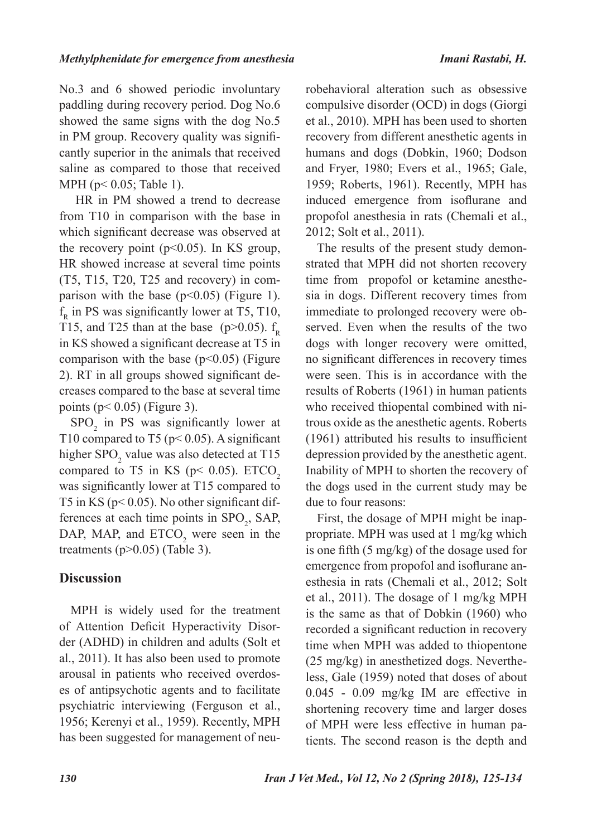No.3 and 6 showed periodic involuntary paddling during recovery period. Dog No.6 showed the same signs with the dog No.5 in PM group. Recovery quality was significantly superior in the animals that received saline as compared to those that received MPH (p< 0.05; Table 1).

 HR in PM showed a trend to decrease from T10 in comparison with the base in which significant decrease was observed at the recovery point  $(p<0.05)$ . In KS group, HR showed increase at several time points (T5, T15, T20, T25 and recovery) in comparison with the base ( $p<0.05$ ) (Figure 1).  $f<sub>R</sub>$  in PS was significantly lower at T5, T10, T15, and T25 than at the base (p>0.05).  $f_R$ in KS showed a significant decrease at T5 in comparison with the base  $(p<0.05)$  (Figure 2). RT in all groups showed significant decreases compared to the base at several time points ( $p < 0.05$ ) (Figure 3).

 $SPO<sub>2</sub>$  in PS was significantly lower at T10 compared to T5 ( $p$ < 0.05). A significant higher  $\text{SPO}_2$  value was also detected at T15 compared to T5 in KS ( $p$ < 0.05). ETCO<sub>2</sub> was significantly lower at T15 compared to T5 in KS ( $p$ < 0.05). No other significant differences at each time points in  $SPO_2$ , SAP, DAP, MAP, and  $ETCO<sub>2</sub>$  were seen in the treatments ( $p > 0.05$ ) (Table 3).

## **Discussion**

MPH is widely used for the treatment of Attention Deficit Hyperactivity Disorder (ADHD) in children and adults (Solt et al., 2011). It has also been used to promote arousal in patients who received overdoses of antipsychotic agents and to facilitate psychiatric interviewing (Ferguson et al., 1956; Kerenyi et al., 1959). Recently, MPH has been suggested for management of neurobehavioral alteration such as obsessive compulsive disorder (OCD) in dogs (Giorgi et al., 2010). MPH has been used to shorten recovery from different anesthetic agents in humans and dogs (Dobkin, 1960; Dodson and Fryer, 1980; Evers et al., 1965; Gale, 1959; Roberts, 1961). Recently, MPH has induced emergence from isoflurane and propofol anesthesia in rats (Chemali et al., 2012; Solt et al., 2011).

The results of the present study demonstrated that MPH did not shorten recovery time from propofol or ketamine anesthesia in dogs. Different recovery times from immediate to prolonged recovery were observed. Even when the results of the two dogs with longer recovery were omitted, no significant differences in recovery times were seen. This is in accordance with the results of Roberts (1961) in human patients who received thiopental combined with nitrous oxide as the anesthetic agents. Roberts (1961) attributed his results to insufficient depression provided by the anesthetic agent. Inability of MPH to shorten the recovery of the dogs used in the current study may be due to four reasons:

First, the dosage of MPH might be inappropriate. MPH was used at 1 mg/kg which is one fifth (5 mg/kg) of the dosage used for emergence from propofol and isoflurane anesthesia in rats (Chemali et al., 2012; Solt et al., 2011). The dosage of 1 mg/kg MPH is the same as that of Dobkin (1960) who recorded a significant reduction in recovery time when MPH was added to thiopentone (25 mg/kg) in anesthetized dogs. Nevertheless, Gale (1959) noted that doses of about 0.045 - 0.09 mg/kg IM are effective in shortening recovery time and larger doses of MPH were less effective in human patients. The second reason is the depth and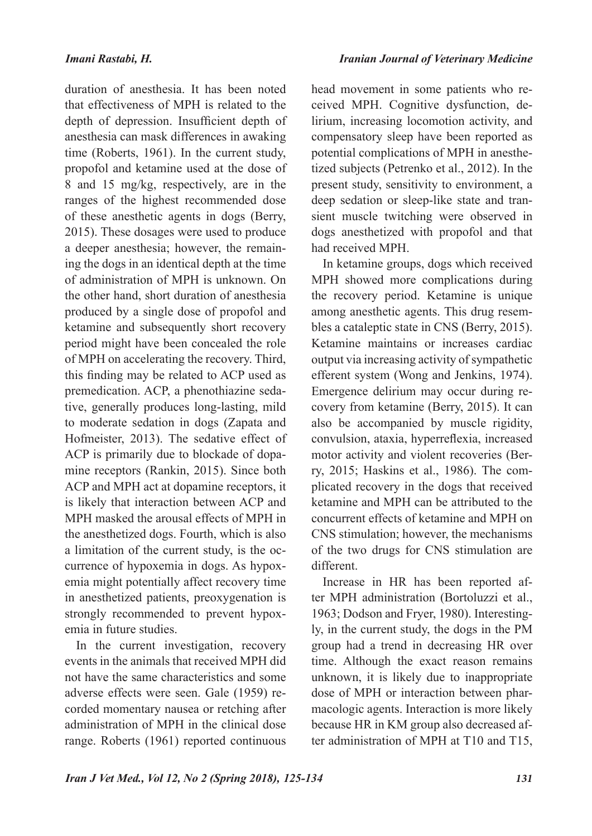duration of anesthesia. It has been noted that effectiveness of MPH is related to the depth of depression. Insufficient depth of anesthesia can mask differences in awaking time (Roberts, 1961). In the current study, propofol and ketamine used at the dose of 8 and 15 mg/kg, respectively, are in the ranges of the highest recommended dose of these anesthetic agents in dogs (Berry, 2015). These dosages were used to produce a deeper anesthesia; however, the remaining the dogs in an identical depth at the time of administration of MPH is unknown. On the other hand, short duration of anesthesia produced by a single dose of propofol and ketamine and subsequently short recovery period might have been concealed the role of MPH on accelerating the recovery. Third, this finding may be related to ACP used as premedication. ACP, a phenothiazine sedative, generally produces long-lasting, mild to moderate sedation in dogs (Zapata and Hofmeister, 2013). The sedative effect of ACP is primarily due to blockade of dopamine receptors (Rankin, 2015). Since both ACP and MPH act at dopamine receptors, it is likely that interaction between ACP and MPH masked the arousal effects of MPH in the anesthetized dogs. Fourth, which is also a limitation of the current study, is the occurrence of hypoxemia in dogs. As hypoxemia might potentially affect recovery time in anesthetized patients, preoxygenation is strongly recommended to prevent hypox-

In the current investigation, recovery events in the animals that received MPH did not have the same characteristics and some adverse effects were seen. Gale (1959) recorded momentary nausea or retching after administration of MPH in the clinical dose range. Roberts (1961) reported continuous

emia in future studies.

head movement in some patients who received MPH. Cognitive dysfunction, delirium, increasing locomotion activity, and compensatory sleep have been reported as potential complications of MPH in anesthetized subjects (Petrenko et al., 2012). In the present study, sensitivity to environment, a deep sedation or sleep-like state and transient muscle twitching were observed in dogs anesthetized with propofol and that had received MPH.

In ketamine groups, dogs which received MPH showed more complications during the recovery period. Ketamine is unique among anesthetic agents. This drug resembles a cataleptic state in CNS (Berry, 2015). Ketamine maintains or increases cardiac output via increasing activity of sympathetic efferent system (Wong and Jenkins, 1974). Emergence delirium may occur during recovery from ketamine (Berry, 2015). It can also be accompanied by muscle rigidity, convulsion, ataxia, hyperreflexia, increased motor activity and violent recoveries (Berry, 2015; Haskins et al., 1986). The complicated recovery in the dogs that received ketamine and MPH can be attributed to the concurrent effects of ketamine and MPH on CNS stimulation; however, the mechanisms of the two drugs for CNS stimulation are different.

Increase in HR has been reported after MPH administration (Bortoluzzi et al., 1963; Dodson and Fryer, 1980). Interestingly, in the current study, the dogs in the PM group had a trend in decreasing HR over time. Although the exact reason remains unknown, it is likely due to inappropriate dose of MPH or interaction between pharmacologic agents. Interaction is more likely because HR in KM group also decreased after administration of MPH at T10 and T15,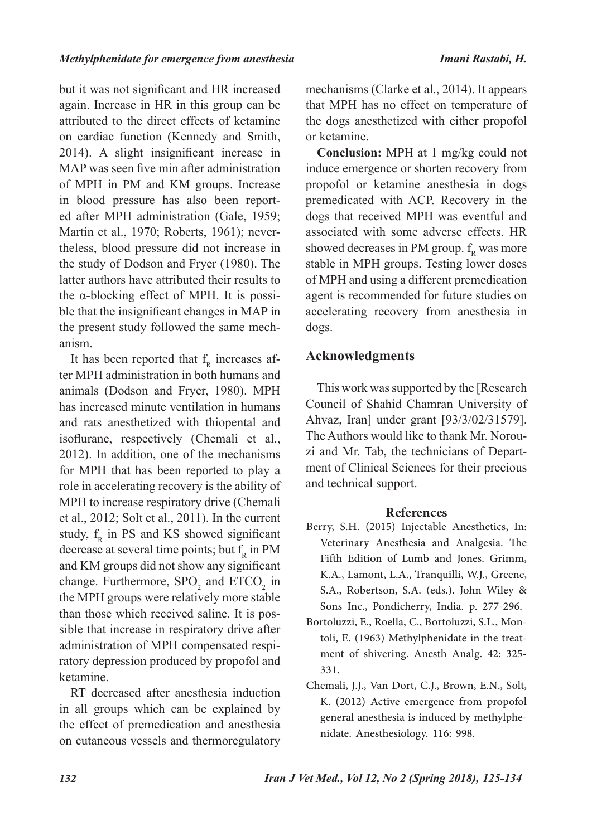but it was not significant and HR increased again. Increase in HR in this group can be attributed to the direct effects of ketamine on cardiac function (Kennedy and Smith, 2014). A slight insignificant increase in MAP was seen five min after administration of MPH in PM and KM groups. Increase in blood pressure has also been reported after MPH administration (Gale, 1959; Martin et al., 1970; Roberts, 1961); nevertheless, blood pressure did not increase in the study of Dodson and Fryer (1980). The latter authors have attributed their results to the α-blocking effect of MPH. It is possible that the insignificant changes in MAP in the present study followed the same mechanism.

It has been reported that  $f_R$  increases after MPH administration in both humans and animals (Dodson and Fryer, 1980). MPH has increased minute ventilation in humans and rats anesthetized with thiopental and isoflurane, respectively (Chemali et al., 2012). In addition, one of the mechanisms for MPH that has been reported to play a role in accelerating recovery is the ability of MPH to increase respiratory drive (Chemali et al., 2012; Solt et al., 2011). In the current study,  $f<sub>R</sub>$  in PS and KS showed significant decrease at several time points; but  $f_R$  in PM and KM groups did not show any significant change. Furthermore,  $SPO<sub>2</sub>$  and  $ETCO<sub>2</sub>$  in the MPH groups were relatively more stable than those which received saline. It is possible that increase in respiratory drive after administration of MPH compensated respiratory depression produced by propofol and ketamine.

RT decreased after anesthesia induction in all groups which can be explained by the effect of premedication and anesthesia on cutaneous vessels and thermoregulatory

mechanisms (Clarke et al., 2014). It appears that MPH has no effect on temperature of the dogs anesthetized with either propofol or ketamine.

**Conclusion:** MPH at 1 mg/kg could not induce emergence or shorten recovery from propofol or ketamine anesthesia in dogs premedicated with ACP. Recovery in the dogs that received MPH was eventful and associated with some adverse effects. HR showed decreases in PM group.  $f_R$  was more stable in MPH groups. Testing lower doses of MPH and using a different premedication agent is recommended for future studies on accelerating recovery from anesthesia in dogs.

## **Acknowledgments**

This work was supported by the [Research Council of Shahid Chamran University of Ahvaz, Iran] under grant [93/3/02/31579]. The Authors would like to thank Mr. Norouzi and Mr. Tab, the technicians of Department of Clinical Sciences for their precious and technical support.

#### **References**

- Berry, S.H. (2015) Injectable Anesthetics, In: Veterinary Anesthesia and Analgesia. The Fifth Edition of Lumb and Jones. Grimm, K.A., Lamont, L.A., Tranquilli, W.J., Greene, S.A., Robertson, S.A. (eds.). John Wiley & Sons Inc., Pondicherry, India. p. 277-296.
- Bortoluzzi, E., Roella, C., Bortoluzzi, S.L., Montoli, E. (1963) Methylphenidate in the treatment of shivering. Anesth Analg. 42: 325- 331.
- Chemali, J.J., Van Dort, C.J., Brown, E.N., Solt, K. (2012) Active emergence from propofol general anesthesia is induced by methylphenidate. Anesthesiology. 116: 998.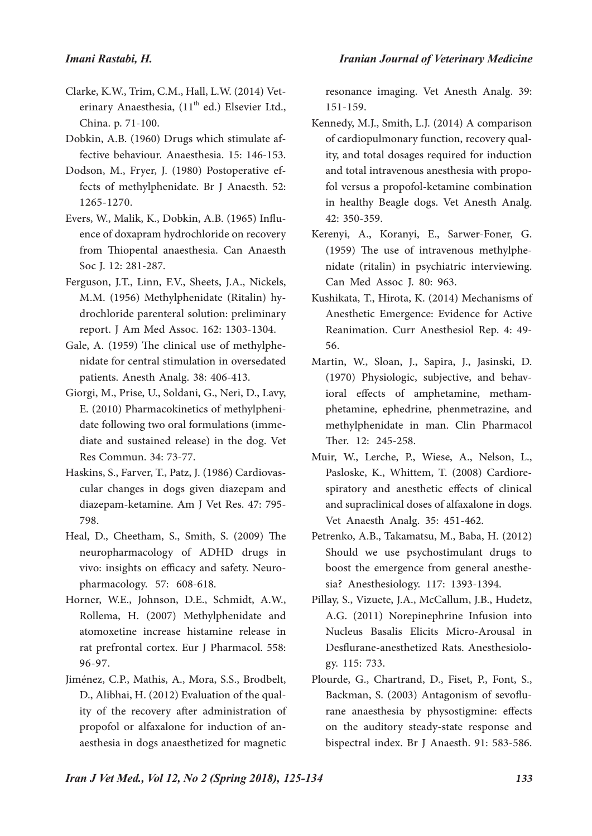- Clarke, K.W., Trim, C.M., Hall, L.W. (2014) Veterinary Anaesthesia,  $(11<sup>th</sup>$  ed.) Elsevier Ltd., China. p. 71-100.
- Dobkin, A.B. (1960) Drugs which stimulate affective behaviour. Anaesthesia. 15: 146-153.
- Dodson, M., Fryer, J. (1980) Postoperative effects of methylphenidate. Br J Anaesth. 52: 1265-1270.
- Evers, W., Malik, K., Dobkin, A.B. (1965) Influence of doxapram hydrochloride on recovery from Thiopental anaesthesia. Can Anaesth Soc J. 12: 281-287.
- Ferguson, J.T., Linn, F.V., Sheets, J.A., Nickels, M.M. (1956) Methylphenidate (Ritalin) hydrochloride parenteral solution: preliminary report. J Am Med Assoc. 162: 1303-1304.
- Gale, A. (1959) The clinical use of methylphenidate for central stimulation in oversedated patients. Anesth Analg. 38: 406-413.
- Giorgi, M., Prise, U., Soldani, G., Neri, D., Lavy, E. (2010) Pharmacokinetics of methylphenidate following two oral formulations (immediate and sustained release) in the dog. Vet Res Commun. 34: 73-77.
- Haskins, S., Farver, T., Patz, J. (1986) Cardiovascular changes in dogs given diazepam and diazepam-ketamine. Am J Vet Res. 47: 795- 798.
- Heal, D., Cheetham, S., Smith, S. (2009) The neuropharmacology of ADHD drugs in vivo: insights on efficacy and safety. Neuropharmacology. 57: 608-618.
- Horner, W.E., Johnson, D.E., Schmidt, A.W., Rollema, H. (2007) Methylphenidate and atomoxetine increase histamine release in rat prefrontal cortex. Eur J Pharmacol. 558: 96-97.
- Jiménez, C.P., Mathis, A., Mora, S.S., Brodbelt, D., Alibhai, H. (2012) Evaluation of the quality of the recovery after administration of propofol or alfaxalone for induction of anaesthesia in dogs anaesthetized for magnetic

resonance imaging. Vet Anesth Analg. 39: 151-159.

- Kennedy, M.J., Smith, L.J. (2014) A comparison of cardiopulmonary function, recovery quality, and total dosages required for induction and total intravenous anesthesia with propofol versus a propofol‐ketamine combination in healthy Beagle dogs. Vet Anesth Analg. 42: 350-359.
- Kerenyi, A., Koranyi, E., Sarwer-Foner, G. (1959) The use of intravenous methylphenidate (ritalin) in psychiatric interviewing. Can Med Assoc J. 80: 963.
- Kushikata, T., Hirota, K. (2014) Mechanisms of Anesthetic Emergence: Evidence for Active Reanimation. Curr Anesthesiol Rep. 4: 49- 56.
- Martin, W., Sloan, J., Sapira, J., Jasinski, D. (1970) Physiologic, subjective, and behavioral effects of amphetamine, methamphetamine, ephedrine, phenmetrazine, and methylphenidate in man. Clin Pharmacol Ther. 12: 245-258.
- Muir, W., Lerche, P., Wiese, A., Nelson, L., Pasloske, K., Whittem, T. (2008) Cardiorespiratory and anesthetic effects of clinical and supraclinical doses of alfaxalone in dogs. Vet Anaesth Analg. 35: 451-462.
- Petrenko, A.B., Takamatsu, M., Baba, H. (2012) Should we use psychostimulant drugs to boost the emergence from general anesthesia? Anesthesiology. 117: 1393-1394.
- Pillay, S., Vizuete, J.A., McCallum, J.B., Hudetz, A.G. (2011) Norepinephrine Infusion into Nucleus Basalis Elicits Micro-Arousal in Desflurane-anesthetized Rats. Anesthesiology. 115: 733.
- Plourde, G., Chartrand, D., Fiset, P., Font, S., Backman, S. (2003) Antagonism of sevoflurane anaesthesia by physostigmine: effects on the auditory steady‐state response and bispectral index. Br J Anaesth. 91: 583-586.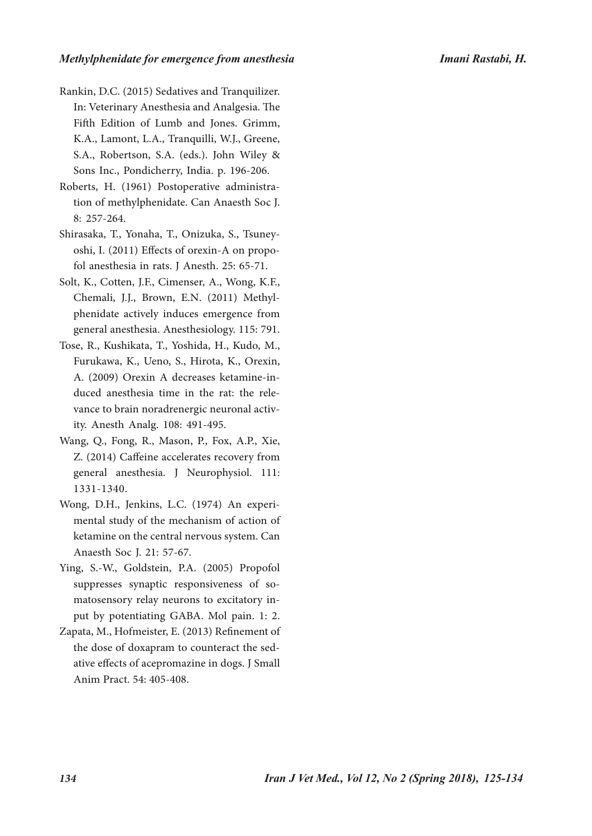#### *Methylphenidate for emergence from anesthesia Imani Rastabi, H.*

- Rankin, D.C. (2015) Sedatives and Tranquilizer. In: Veterinary Anesthesia and Analgesia. The Fifth Edition of Lumb and Jones. Grimm, K.A., Lamont, L.A., Tranquilli, W.J., Greene, S.A., Robertson, S.A. (eds.). John Wiley & Sons Inc., Pondicherry, India. p. 196-206.
- Roberts, H. (1961) Postoperative administration of methylphenidate. Can Anaesth Soc J. 8: 257-264.
- Shirasaka, T., Yonaha, T., Onizuka, S., Tsuneyoshi, I. (2011) Effects of orexin-A on propofol anesthesia in rats. J Anesth. 25: 65-71.
- Solt, K., Cotten, J.F., Cimenser, A., Wong, K.F., Chemali, J.J., Brown, E.N. (2011) Methylphenidate actively induces emergence from general anesthesia. Anesthesiology. 115: 791.
- Tose, R., Kushikata, T., Yoshida, H., Kudo, M., Furukawa, K., Ueno, S., Hirota, K., Orexin, A. (2009) Orexin A decreases ketamine-induced anesthesia time in the rat: the relevance to brain noradrenergic neuronal activity. Anesth Analg. 108: 491-495.
- Wang, Q., Fong, R., Mason, P., Fox, A.P., Xie, Z. (2014) Caffeine accelerates recovery from general anesthesia. J Neurophysiol. 111: 1331-1340.
- Wong, D.H., Jenkins, L.C. (1974) An experimental study of the mechanism of action of ketamine on the central nervous system. Can Anaesth Soc J. 21: 57-67.
- Ying, S.-W., Goldstein, P.A. (2005) Propofol suppresses synaptic responsiveness of somatosensory relay neurons to excitatory input by potentiating GABA. Mol pain. 1: 2.
- Zapata, M., Hofmeister, E. (2013) Refinement of the dose of doxapram to counteract the sedative effects of acepromazine in dogs. J Small Anim Pract. 54: 405-408.